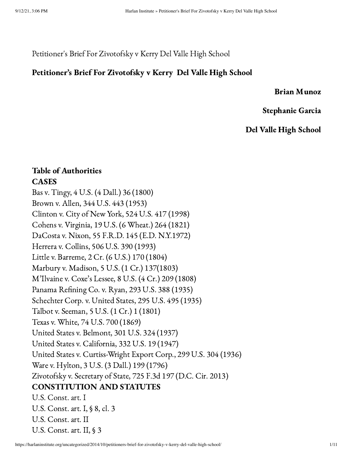Petitioner's Brief For Zivotofsky v Kerry Del Valle High School

### Petitioner's Brief For Zivotofsky v Kerry Del Valle High School

#### Brian Munoz

Stephanie Garcia

## Del Valle High School

## Table of Authorities CASES

Bas v. Tingy, 4 U.S. (4 Dall.) 36 (1800) Brown v. Allen, 344 U.S. 443 (1953) Clinton v. City of New York, 524 U.S. 417 (1998) Cohens v. Virginia, 19 U.S. (6 Wheat.) 264 (1821) DaCosta v. Nixon, 55 F.R.D. 145 (E.D. N.Y.1972) Herrera v. Collins, 506 U.S. 390 (1993) Little v. Barreme, 2 Cr. (6 U.S.) 170 (1804) Marbury v. Madison, 5 U.S. (1 Cr.) 137(1803) M'Ilvaine v. Coxe's Lessee, 8 U.S. (4 Cr.) 209 (1808) Panama Refining Co. v. Ryan, 293 U.S. 388 (1935) Schechter Corp. v. United States, 295 U.S. 495 (1935) Talbot v. Seeman, 5 U.S. (1 Cr.) 1 (1801) Texas v. White, 74 U.S. 700 (1869) United States v. Belmont, 301 U.S. 324 (1937) United States v. California, 332 U.S. 19 (1947) United States v. Curtiss-Wright Export Corp., 299 U.S. 304 (1936) Ware v. Hylton, 3 U.S. (3 Dall.) 199 (1796) Zivotofsky v. Secretary of State, 725 F.3d 197 (D.C. Cir. 2013) CONSTITUTION AND STATUTES U.S. Const. art. I U.S. Const. art. I, § 8, cl. 3 U.S. Const. art. II U.S. Const. art. II, § 3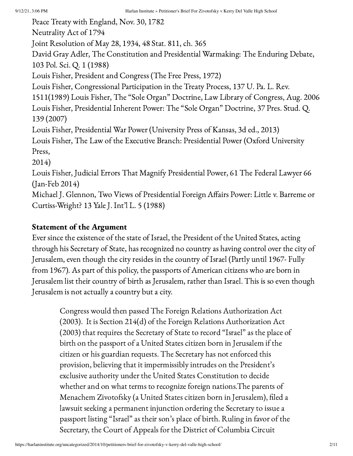Peace Treaty with England, Nov. 30, 1782 Neutrality Act of 1794 Joint Resolution of May 28, 1934, 48 Stat. 811, ch. 365 David Gray Adler, The Constitution and Presidential Warmaking: The Enduring Debate, 103 Pol. Sci. Q. 1 (1988) Louis Fisher, President and Congress (The Free Press, 1972) Louis Fisher, Congressional Participation in the Treaty Process, 137 U. Pa. L. Rev. 1511(1989) Louis Fisher, The "Sole Organ" Doctrine, Law Library of Congress, Aug. 2006 Louis Fisher, Presidential Inherent Power: The "Sole Organ" Doctrine, 37 Pres. Stud. Q. 139 (2007) Louis Fisher, Presidential War Power (University Press of Kansas, 3d ed., 2013) Louis Fisher, The Law of the Executive Branch: Presidential Power (Oxford University Press, 2014) Louis Fisher, Judicial Errors That Magnify Presidential Power, 61 The Federal Lawyer 66 (Jan-Feb 2014) Michael J. Glennon, Two Views of Presidential Foreign Affairs Power: Little v. Barreme or Curtiss-Wright? 13 Yale J. Int'l L. 5 (1988)

## Statement of the Argument

Ever since the existence of the state of Israel, the President of the United States, acting through his Secretary of State, has recognized no country as having control over the city of Jerusalem, even though the city resides in the country of Israel (Partly until 1967- Fully from 1967). As part of this policy, the passports of American citizens who are born in Jerusalem list their country of birth as Jerusalem, rather than Israel. This is so even though Jerusalem is not actually a country but a city.

Congress would then passed The Foreign Relations Authorization Act (2003). It is Section 214(d) of the Foreign Relations Authorization Act (2003) that requires the Secretary of State to record "Israel" as the place of birth on the passport of a United States citizen born in Jerusalem if the citizen or his guardian requests. The Secretary has not enforced this provision, believing that it impermissibly intrudes on the President's exclusive authority under the United States Constitution to decide whether and on what terms to recognize foreign nations.The parents of Menachem Zivotofsky (a United States citizen born in Jerusalem), filed a lawsuit seeking a permanent injunction ordering the Secretary to issue a passport listing "Israel" as their son's place of birth. Ruling in favor of the Secretary, the Court of Appeals for the District of Columbia Circuit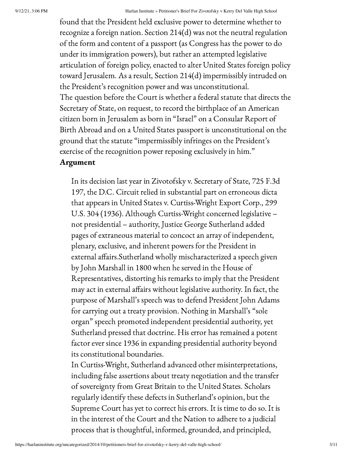found that the President held exclusive power to determine whether to recognize a foreign nation. Section 214(d) was not the neutral regulation of the form and content of a passport (as Congress has the power to do under its immigration powers), but rather an attempted legislative articulation of foreign policy, enacted to alter United States foreign policy toward Jerusalem. As a result, Section 214(d) impermissibly intruded on the President's recognition power and was unconstitutional. The question before the Court is whether a federal statute that directs the Secretary of State, on request, to record the birthplace of an American citizen born in Jerusalem as born in "Israel" on a Consular Report of Birth Abroad and on a United States passport is unconstitutional on the ground that the statute "impermissibly infringes on the President's exercise of the recognition power reposing exclusively in him."

## Argument

In its decision last year in Zivotofsky v. Secretary of State, 725 F.3d 197, the D.C. Circuit relied in substantial part on erroneous dicta that appears in United States v. Curtiss-Wright Export Corp., 299 U.S. 304 (1936). Although Curtiss-Wright concerned legislative – not presidential – authority, Justice George Sutherland added pages of extraneous material to concoct an array of independent, plenary, exclusive, and inherent powers for the President in external affairs.Sutherland wholly mischaracterized a speech given by John Marshall in 1800 when he served in the House of Representatives, distorting his remarks to imply that the President may act in external affairs without legislative authority. In fact, the purpose of Marshall's speech was to defend President John Adams for carrying out a treaty provision. Nothing in Marshall's "sole organ" speech promoted independent presidential authority, yet Sutherland pressed that doctrine. His error has remained a potent factor ever since 1936 in expanding presidential authority beyond its constitutional boundaries.

In Curtiss-Wright, Sutherland advanced other misinterpretations, including false assertions about treaty negotiation and the transfer of sovereignty from Great Britain to the United States. Scholars regularly identify these defects in Sutherland's opinion, but the Supreme Court has yet to correct his errors. It is time to do so. It is in the interest of the Court and the Nation to adhere to a judicial process that is thoughtful, informed, grounded, and principled,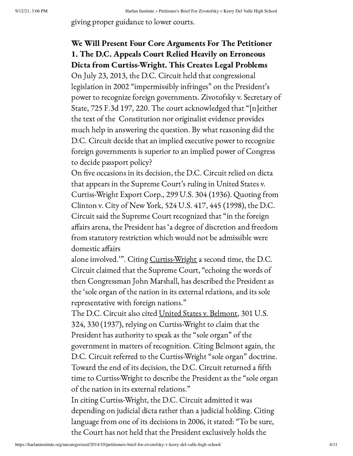giving proper guidance to lower courts.

# We Will Present Four Core Arguments For The Petitioner 1. The D.C. Appeals Court Relied Heavily on Erroneous Dicta from Curtiss-Wright. This Creates Legal Problems

On July 23, 2013, the D.C. Circuit held that congressional legislation in 2002 "impermissibly infringes" on the President's power to recognize foreign governments. Zivotofsky v. Secretary of State, 725 F.3d 197, 220. The court acknowledged that "[n]either the text of the Constitution nor originalist evidence provides much help in answering the question. By what reasoning did the D.C. Circuit decide that an implied executive power to recognize foreign governments is superior to an implied power of Congress to decide passport policy?

On five occasions in its decision, the D.C. Circuit relied on dicta that appears in the Supreme Court's ruling in United States v. Curtiss-Wright Export Corp., 299 U.S. 304 (1936). Quoting from Clinton v. City of New York, 524 U.S. 417, 445 (1998), the D.C. Circuit said the Supreme Court recognized that "in the foreign affairs arena, the President has 'a degree of discretion and freedom from statutory restriction which would not be admissible were domestic affairs

alone involved."". Citing Curtiss-Wright a second time, the D.C. Circuit claimed that the Supreme Court, "echoing the words of then Congressman John Marshall, has described the President as the 'sole organ of the nation in its external relations, and its sole representative with foreign nations."

The D.C. Circuit also cited United States v. Belmont, 301 U.S. 324, 330 (1937), relying on Curtiss-Wright to claim that the President has authority to speak as the "sole organ" of the government in matters of recognition. Citing Belmont again, the D.C. Circuit referred to the Curtiss-Wright "sole organ" doctrine. Toward the end of its decision, the D.C. Circuit returned a fifth time to Curtiss-Wright to describe the President as the "sole organ of the nation in its external relations."

In citing Curtiss-Wright, the D.C. Circuit admitted it was depending on judicial dicta rather than a judicial holding. Citing language from one of its decisions in 2006, it stated: "To be sure, the Court has not held that the President exclusively holds the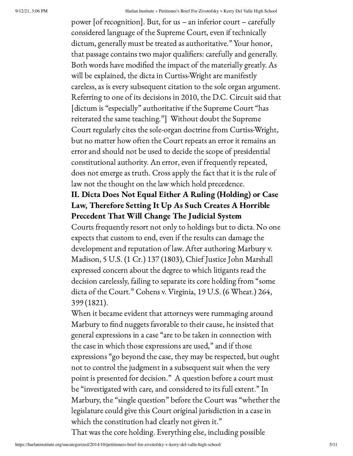power [of recognition]. But, for us – an inferior court – carefully considered language of the Supreme Court, even if technically dictum, generally must be treated as authoritative." Your honor, that passage contains two major qualifiers: carefully and generally. Both words have modified the impact of the materially greatly. As will be explained, the dicta in Curtiss-Wright are manifestly careless, as is every subsequent citation to the sole organ argument. Referring to one of its decisions in 2010, the D.C. Circuit said that [dictum is "especially" authoritative if the Supreme Court "has reiterated the same teaching."] Without doubt the Supreme Court regularly cites the sole-organ doctrine from Curtiss-Wright, but no matter how often the Court repeats an error it remains an error and should not be used to decide the scope of presidential constitutional authority. An error, even if frequently repeated, does not emerge as truth. Cross apply the fact that it is the rule of law not the thought on the law which hold precedence.

# II. Dicta Does Not Equal Either A Ruling (Holding) or Case Law, Therefore Setting It Up As Such Creates A Horrible Precedent That Will Change The Judicial System

Courts frequently resort not only to holdings but to dicta. No one expects that custom to end, even if the results can damage the development and reputation of law. After authoring Marbury v. Madison, 5 U.S. (1 Cr.) 137 (1803), Chief Justice John Marshall expressed concern about the degree to which litigants read the decision carelessly, failing to separate its core holding from "some dicta of the Court." Cohens v. Virginia, 19 U.S. (6 Wheat.) 264, 399 (1821).

When it became evident that attorneys were rummaging around Marbury to find nuggets favorable to their cause, he insisted that general expressions in a case "are to be taken in connection with the case in which those expressions are used," and if those expressions "go beyond the case, they may be respected, but ought not to control the judgment in a subsequent suit when the very point is presented for decision." A question before a court must be "investigated with care, and considered to its full extent." In Marbury, the "single question" before the Court was "whether the legislature could give this Court original jurisdiction in a case in which the constitution had clearly not given it." That was the core holding. Everything else, including possible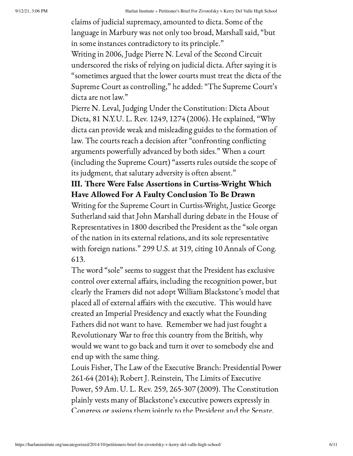claims of judicial supremacy, amounted to dicta. Some of the language in Marbury was not only too broad, Marshall said, "but in some instances contradictory to its principle." Writing in 2006, Judge Pierre N. Leval of the Second Circuit underscored the risks of relying on judicial dicta. After saying it is "sometimes argued that the lower courts must treat the dicta of the Supreme Court as controlling," he added: "The Supreme Court's dicta are not law."

Pierre N. Leval, Judging Under the Constitution: Dicta About Dicta, 81 N.Y.U. L. Rev. 1249, 1274 (2006). He explained, "Why dicta can provide weak and misleading guides to the formation of law. The courts reach a decision after "confronting conflicting arguments powerfully advanced by both sides." When a court (including the Supreme Court) "asserts rules outside the scope of its judgment, that salutary adversity is often absent."

# III. There Were False Assertions in Curtiss-Wright Which Have Allowed For A Faulty Conclusion To Be Drawn

Writing for the Supreme Court in Curtiss-Wright, Justice George Sutherland said that John Marshall during debate in the House of Representatives in 1800 described the President as the "sole organ of the nation in its external relations, and its sole representative with foreign nations." 299 U.S. at 319, citing 10 Annals of Cong. 613.

The word "sole" seems to suggest that the President has exclusive control over external affairs, including the recognition power, but clearly the Framers did not adopt William Blackstone's model that placed all of external affairs with the executive. This would have created an Imperial Presidency and exactly what the Founding Fathers did not want to have. Remember we had just fought a Revolutionary War to free this country from the British, why would we want to go back and turn it over to somebody else and end up with the same thing.

Louis Fisher, The Law of the Executive Branch: Presidential Power 261-64 (2014); Robert J. Reinstein, The Limits of Executive Power, 59 Am. U. L. Rev. 259, 265-307 (2009). The Constitution plainly vests many of Blackstone's executive powers expressly in Congress or assigns them jointly to the President and the Senate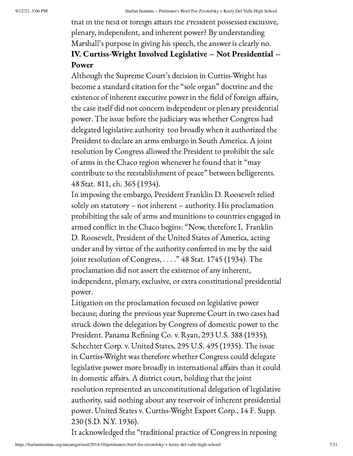that in the field of foreign affairs the President possessed exclusive, plenary, independent, and inherent power? By understanding Marshall's purpose in giving his speech, the answer is clearly no. IV. Curtiss-Wright Involved Legislative – Not Presidential – Power

Although the Supreme Court's decision in Curtiss-Wright has become a standard citation for the "sole organ" doctrine and the existence of inherent executive power in the field of foreign affairs, the case itself did not concern independent or plenary presidential power. The issue before the judiciary was whether Congress had delegated legislative authority too broadly when it authorized the President to declare an arms embargo in South America. A joint resolution by Congress allowed the President to prohibit the sale of arms in the Chaco region whenever he found that it "may contribute to the reestablishment of peace" between belligerents. 48 Stat. 811, ch. 365 (1934).

In imposing the embargo, President Franklin D. Roosevelt relied solely on statutory – not inherent – authority. His proclamation prohibiting the sale of arms and munitions to countries engaged in armed conflict in the Chaco begins: "Now, therefore I, Franklin D. Roosevelt, President of the United States of America, acting under and by virtue of the authority conferred in me by the said joint resolution of Congress, . . . ." 48 Stat. 1745 (1934). The proclamation did not assert the existence of any inherent, independent, plenary, exclusive, or extra constitutional presidential power.

Litigation on the proclamation focused on legislative power because; during the previous year Supreme Court in two cases had struck down the delegation by Congress of domestic power to the President. Panama Refining Co. v. Ryan, 293 U.S. 388 (1935); Schechter Corp. v. United States, 295 U.S. 495 (1935). The issue in Curtiss-Wright was therefore whether Congress could delegate legislative power more broadly in international affairs than it could in domestic affairs. A district court, holding that the joint resolution represented an unconstitutional delegation of legislative authority, said nothing about any reservoir of inherent presidential power. United States v. Curtiss-Wright Export Corp., 14 F. Supp. 230 (S.D. N.Y. 1936).

It acknowledged the "traditional practice of Congress in reposing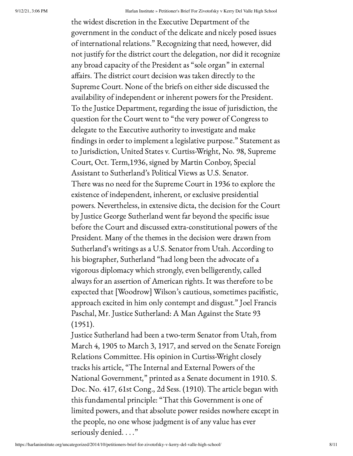the widest discretion in the Executive Department of the government in the conduct of the delicate and nicely posed issues of international relations." Recognizing that need, however, did not justify for the district court the delegation, nor did it recognize any broad capacity of the President as "sole organ" in external affairs. The district court decision was taken directly to the Supreme Court. None of the briefs on either side discussed the availability of independent or inherent powers for the President. To the Justice Department, regarding the issue of jurisdiction, the question for the Court went to "the very power of Congress to delegate to the Executive authority to investigate and make findings in order to implement a legislative purpose." Statement as to Jurisdiction, United States v. Curtiss-Wright, No. 98, Supreme Court, Oct. Term,1936, signed by Martin Conboy, Special Assistant to Sutherland's Political Views as U.S. Senator. There was no need for the Supreme Court in 1936 to explore the existence of independent, inherent, or exclusive presidential powers. Nevertheless, in extensive dicta, the decision for the Court by Justice George Sutherland went far beyond the specific issue before the Court and discussed extra-constitutional powers of the President. Many of the themes in the decision were drawn from Sutherland's writings as a U.S. Senator from Utah. According to his biographer, Sutherland "had long been the advocate of a vigorous diplomacy which strongly, even belligerently, called always for an assertion of American rights. It was therefore to be expected that [Woodrow] Wilson's cautious, sometimes pacifistic, approach excited in him only contempt and disgust." Joel Francis Paschal, Mr. Justice Sutherland: A Man Against the State 93 (1951).

Justice Sutherland had been a two-term Senator from Utah, from March 4, 1905 to March 3, 1917, and served on the Senate Foreign Relations Committee. His opinion in Curtiss-Wright closely tracks his article, "The Internal and External Powers of the National Government," printed as a Senate document in 1910. S. Doc. No. 417, 61st Cong., 2d Sess. (1910). The article began with this fundamental principle: "That this Government is one of limited powers, and that absolute power resides nowhere except in the people, no one whose judgment is of any value has ever seriously denied. . . ."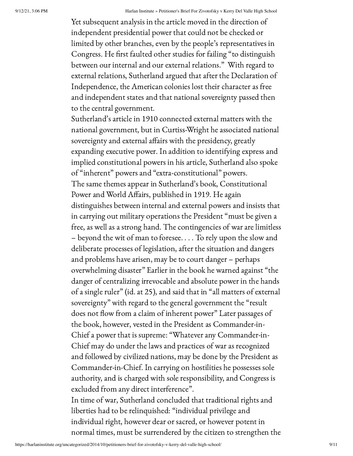Yet subsequent analysis in the article moved in the direction of independent presidential power that could not be checked or limited by other branches, even by the people's representatives in Congress. He first faulted other studies for failing "to distinguish between our internal and our external relations." With regard to external relations, Sutherland argued that after the Declaration of Independence, the American colonies lost their character as free and independent states and that national sovereignty passed then to the central government.

Sutherland's article in 1910 connected external matters with the national government, but in Curtiss-Wright he associated national sovereignty and external affairs with the presidency, greatly expanding executive power. In addition to identifying express and implied constitutional powers in his article, Sutherland also spoke of "inherent" powers and "extra-constitutional" powers. The same themes appear in Sutherland's book, Constitutional Power and World Affairs, published in 1919. He again distinguishes between internal and external powers and insists that in carrying out military operations the President "must be given a free, as well as a strong hand. The contingencies of war are limitless – beyond the wit of man to foresee. . . . To rely upon the slow and deliberate processes of legislation, after the situation and dangers and problems have arisen, may be to court danger – perhaps overwhelming disaster" Earlier in the book he warned against "the danger of centralizing irrevocable and absolute power in the hands of a single ruler" (id. at 25), and said that in "all matters of external sovereignty" with regard to the general government the "result does not flow from a claim of inherent power" Later passages of the book, however, vested in the President as Commander-in-Chief a power that is supreme: "Whatever any Commander-in-Chief may do under the laws and practices of war as recognized and followed by civilized nations, may be done by the President as Commander-in-Chief. In carrying on hostilities he possesses sole authority, and is charged with sole responsibility, and Congress is excluded from any direct interference". In time of war, Sutherland concluded that traditional rights and

liberties had to be relinquished: "individual privilege and individual right, however dear or sacred, or however potent in normal times, must be surrendered by the citizen to strengthen the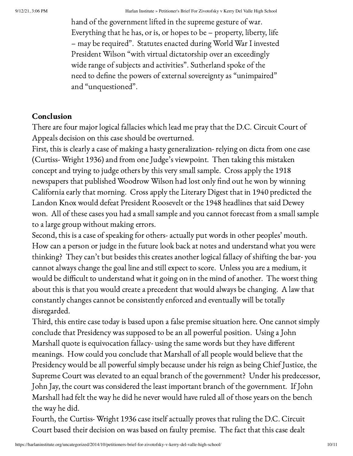hand of the government lifted in the supreme gesture of war. Everything that he has, or is, or hopes to be – property, liberty, life – may be required". Statutes enacted during World War I invested President Wilson "with virtual dictatorship over an exceedingly wide range of subjects and activities". Sutherland spoke of the need to define the powers of external sovereignty as "unimpaired" and "unquestioned".

## Conclusion

There are four major logical fallacies which lead me pray that the D.C. Circuit Court of Appeals decision on this case should be overturned.

First, this is clearly a case of making a hasty generalization- relying on dicta from one case (Curtiss- Wright 1936) and from one Judge's viewpoint. Then taking this mistaken concept and trying to judge others by this very small sample. Cross apply the 1918 newspapers that published Woodrow Wilson had lost only find out he won by winning California early that morning. Cross apply the Literary Digest that in 1940 predicted the Landon Knox would defeat President Roosevelt or the 1948 headlines that said Dewey won. All of these cases you had a small sample and you cannot forecast from a small sample to a large group without making errors.

Second, this is a case of speaking for others- actually put words in other peoples' mouth. How can a person or judge in the future look back at notes and understand what you were thinking? They can't but besides this creates another logical fallacy of shifting the bar- you cannot always change the goal line and still expect to score. Unless you are a medium, it would be difficult to understand what it going on in the mind of another. The worst thing about this is that you would create a precedent that would always be changing. A law that constantly changes cannot be consistently enforced and eventually will be totally disregarded.

Third, this entire case today is based upon a false premise situation here. One cannot simply conclude that Presidency was supposed to be an all powerful position. Using a John Marshall quote is equivocation fallacy- using the same words but they have different meanings. How could you conclude that Marshall of all people would believe that the Presidency would be all powerful simply because under his reign as being Chief Justice, the Supreme Court was elevated to an equal branch of the government? Under his predecessor, John Jay, the court was considered the least important branch of the government. If John Marshall had felt the way he did he never would have ruled all of those years on the bench the way he did.

Fourth, the Curtiss- Wright 1936 case itself actually proves that ruling the D.C. Circuit Court based their decision on was based on faulty premise. The fact that this case dealt